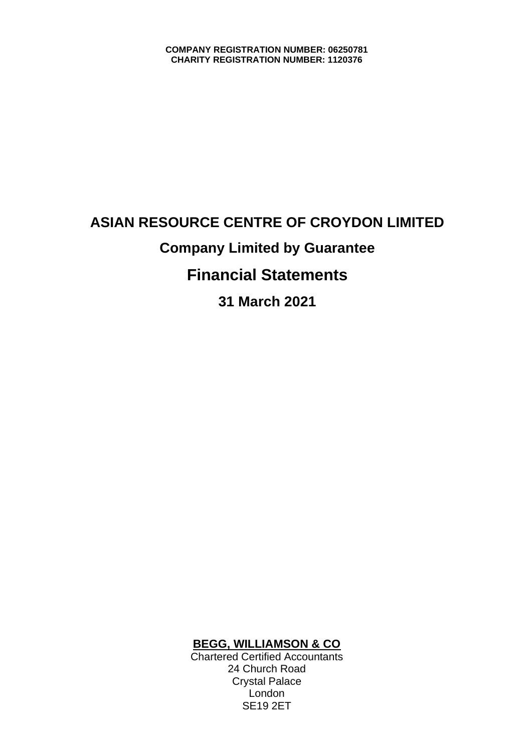# **ASIAN RESOURCE CENTRE OF CROYDON LIMITED Company Limited by Guarantee Financial Statements 31 March 2021**

### **BEGG, WILLIAMSON & CO**

Chartered Certified Accountants 24 Church Road Crystal Palace London SE19 2ET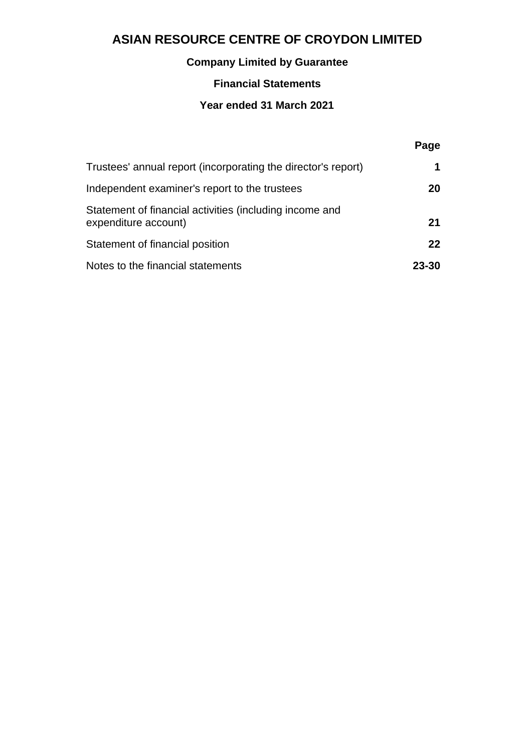# **Company Limited by Guarantee**

### **Financial Statements**

### **Year ended 31 March 2021**

|                                                                                 | Page  |
|---------------------------------------------------------------------------------|-------|
| Trustees' annual report (incorporating the director's report)                   |       |
| Independent examiner's report to the trustees                                   | 20    |
| Statement of financial activities (including income and<br>expenditure account) | 21    |
| Statement of financial position                                                 | 22    |
| Notes to the financial statements                                               | 23-30 |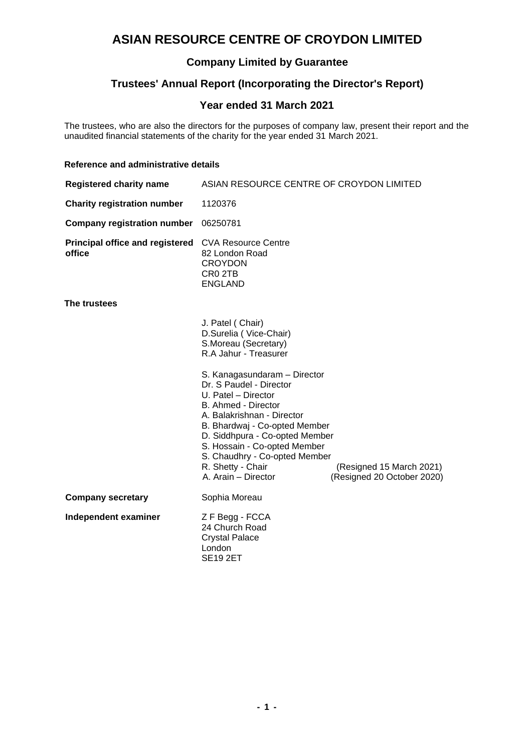### **Company Limited by Guarantee**

### **Trustees' Annual Report (Incorporating the Director's Report)**

### **Year ended 31 March 2021**

The trustees, who are also the directors for the purposes of company law, present their report and the unaudited financial statements of the charity for the year ended 31 March 2021.

#### **Reference and administrative details**

| <b>Registered charity name</b>            | ASIAN RESOURCE CENTRE OF CROYDON LIMITED                                                                                                                                                                                          |                                                        |
|-------------------------------------------|-----------------------------------------------------------------------------------------------------------------------------------------------------------------------------------------------------------------------------------|--------------------------------------------------------|
| <b>Charity registration number</b>        | 1120376                                                                                                                                                                                                                           |                                                        |
| <b>Company registration number</b>        | 06250781                                                                                                                                                                                                                          |                                                        |
| Principal office and registered<br>office | <b>CVA Resource Centre</b><br>82 London Road<br><b>CROYDON</b><br>CR <sub>0</sub> 2TB<br><b>ENGLAND</b>                                                                                                                           |                                                        |
| The trustees                              |                                                                                                                                                                                                                                   |                                                        |
|                                           | J. Patel (Chair)<br>D.Surelia (Vice-Chair)<br>S.Moreau (Secretary)<br>R.A Jahur - Treasurer<br>S. Kanagasundaram - Director<br>Dr. S Paudel - Director<br>U. Patel - Director                                                     |                                                        |
|                                           | B. Ahmed - Director<br>A. Balakrishnan - Director<br>B. Bhardwaj - Co-opted Member<br>D. Siddhpura - Co-opted Member<br>S. Hossain - Co-opted Member<br>S. Chaudhry - Co-opted Member<br>R. Shetty - Chair<br>A. Arain - Director | (Resigned 15 March 2021)<br>(Resigned 20 October 2020) |
| <b>Company secretary</b>                  | Sophia Moreau                                                                                                                                                                                                                     |                                                        |
| Independent examiner                      | Z F Begg - FCCA<br>24 Church Road<br><b>Crystal Palace</b><br>London<br><b>SE19 2ET</b>                                                                                                                                           |                                                        |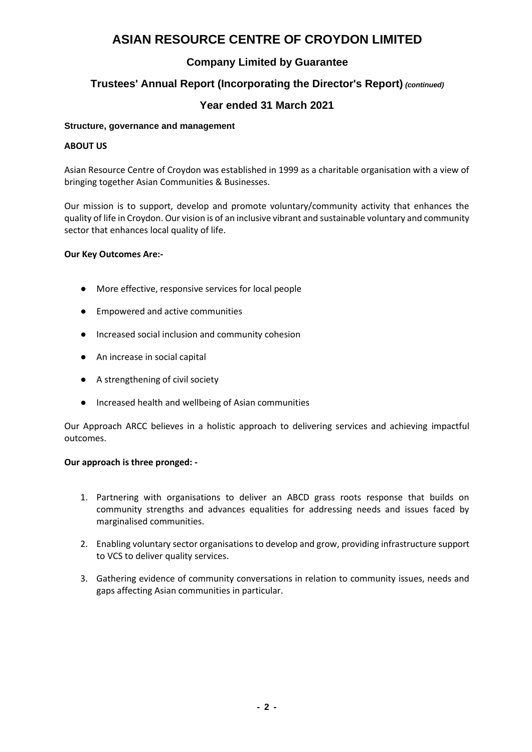### **Company Limited by Guarantee**

### **Trustees' Annual Report (Incorporating the Director's Report)** *(continued)*

### **Year ended 31 March 2021**

#### **Structure, governance and management**

#### **ABOUT US**

Asian Resource Centre of Croydon was established in 1999 as a charitable organisation with a view of bringing together Asian Communities & Businesses.

Our mission is to support, develop and promote voluntary/community activity that enhances the quality of life in Croydon. Our vision is of an inclusive vibrant and sustainable voluntary and community sector that enhances local quality of life.

#### **Our Key Outcomes Are:-**

- More effective, responsive services for local people
- Empowered and active communities
- Increased social inclusion and community cohesion
- An increase in social capital
- A strengthening of civil society
- Increased health and wellbeing of Asian communities

Our Approach ARCC believes in a holistic approach to delivering services and achieving impactful outcomes.

#### **Our approach is three pronged: -**

- 1. Partnering with organisations to deliver an ABCD grass roots response that builds on community strengths and advances equalities for addressing needs and issues faced by marginalised communities.
- 2. Enabling voluntary sector organisations to develop and grow, providing infrastructure support to VCS to deliver quality services.
- 3. Gathering evidence of community conversations in relation to community issues, needs and gaps affecting Asian communities in particular.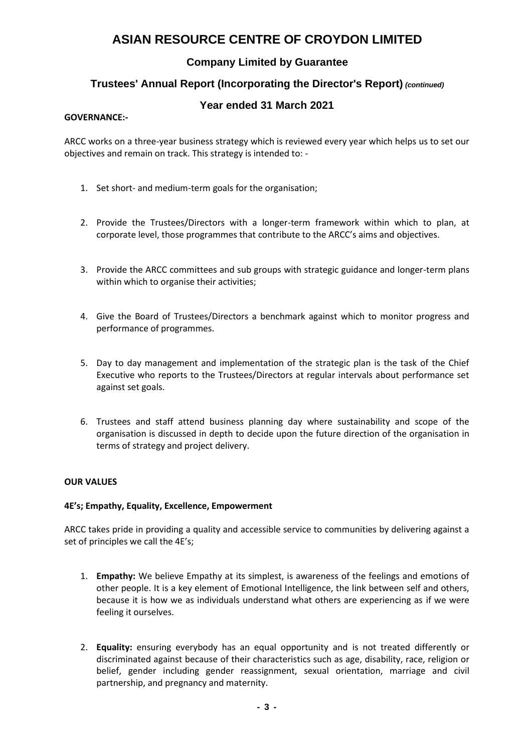### **Company Limited by Guarantee**

### **Trustees' Annual Report (Incorporating the Director's Report)** *(continued)*

### **Year ended 31 March 2021**

#### **GOVERNANCE:-**

ARCC works on a three-year business strategy which is reviewed every year which helps us to set our objectives and remain on track. This strategy is intended to: -

- 1. Set short- and medium-term goals for the organisation;
- 2. Provide the Trustees/Directors with a longer-term framework within which to plan, at corporate level, those programmes that contribute to the ARCC's aims and objectives.
- 3. Provide the ARCC committees and sub groups with strategic guidance and longer-term plans within which to organise their activities;
- 4. Give the Board of Trustees/Directors a benchmark against which to monitor progress and performance of programmes.
- 5. Day to day management and implementation of the strategic plan is the task of the Chief Executive who reports to the Trustees/Directors at regular intervals about performance set against set goals.
- 6. Trustees and staff attend business planning day where sustainability and scope of the organisation is discussed in depth to decide upon the future direction of the organisation in terms of strategy and project delivery.

#### **OUR VALUES**

#### **4E's; Empathy, Equality, Excellence, Empowerment**

ARCC takes pride in providing a quality and accessible service to communities by delivering against a set of principles we call the 4E's;

- 1. **Empathy:** We believe Empathy at its simplest, is awareness of the feelings and emotions of other people. It is a key element of Emotional Intelligence, the link between self and others, because it is how we as individuals understand what others are experiencing as if we were feeling it ourselves.
- 2. **Equality:** ensuring everybody has an equal opportunity and is not treated differently or discriminated against because of their characteristics such as age, disability, race, religion or belief, gender including gender reassignment, sexual orientation, marriage and civil partnership, and pregnancy and maternity.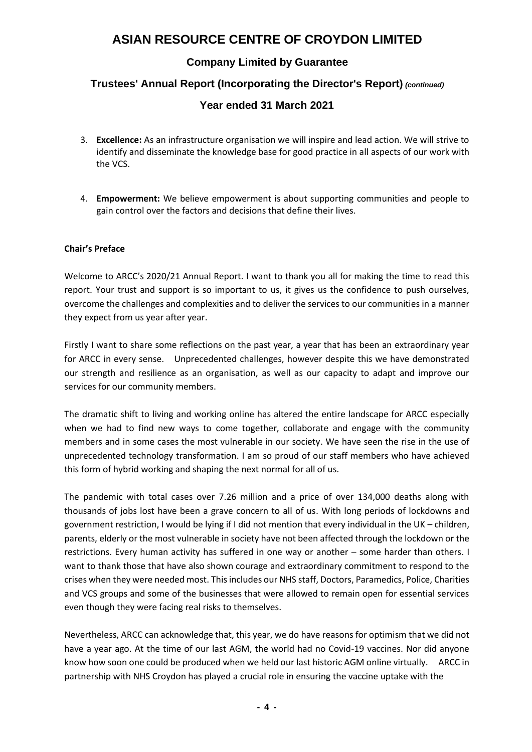### **Company Limited by Guarantee**

### **Trustees' Annual Report (Incorporating the Director's Report)** *(continued)*

### **Year ended 31 March 2021**

- 3. **Excellence:** As an infrastructure organisation we will inspire and lead action. We will strive to identify and disseminate the knowledge base for good practice in all aspects of our work with the VCS.
- 4. **Empowerment:** We believe empowerment is about supporting communities and people to gain control over the factors and decisions that define their lives.

#### **Chair's Preface**

Welcome to ARCC's 2020/21 Annual Report. I want to thank you all for making the time to read this report. Your trust and support is so important to us, it gives us the confidence to push ourselves, overcome the challenges and complexities and to deliver the services to our communities in a manner they expect from us year after year.

Firstly I want to share some reflections on the past year, a year that has been an extraordinary year for ARCC in every sense. Unprecedented challenges, however despite this we have demonstrated our strength and resilience as an organisation, as well as our capacity to adapt and improve our services for our community members.

The dramatic shift to living and working online has altered the entire landscape for ARCC especially when we had to find new ways to come together, collaborate and engage with the community members and in some cases the most vulnerable in our society. We have seen the rise in the use of unprecedented technology transformation. I am so proud of our staff members who have achieved this form of hybrid working and shaping the next normal for all of us.

The pandemic with total cases over 7.26 million and a price of over 134,000 deaths along with thousands of jobs lost have been a grave concern to all of us. With long periods of lockdowns and government restriction, I would be lying if I did not mention that every individual in the UK – children, parents, elderly or the most vulnerable in society have not been affected through the lockdown or the restrictions. Every human activity has suffered in one way or another – some harder than others. I want to thank those that have also shown courage and extraordinary commitment to respond to the crises when they were needed most. This includes our NHS staff, Doctors, Paramedics, Police, Charities and VCS groups and some of the businesses that were allowed to remain open for essential services even though they were facing real risks to themselves.

Nevertheless, ARCC can acknowledge that, this year, we do have reasons for optimism that we did not have a year ago. At the time of our last AGM, the world had no Covid-19 vaccines. Nor did anyone know how soon one could be produced when we held our last historic AGM online virtually. ARCC in partnership with NHS Croydon has played a crucial role in ensuring the vaccine uptake with the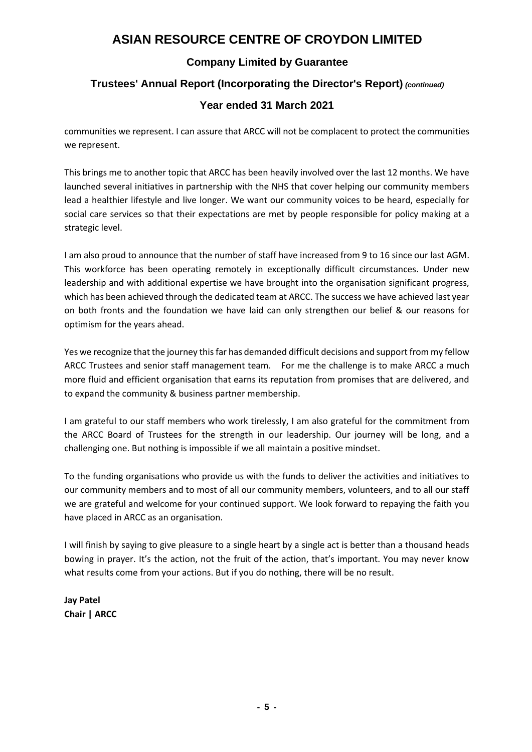### **Company Limited by Guarantee**

### **Trustees' Annual Report (Incorporating the Director's Report)** *(continued)*

### **Year ended 31 March 2021**

communities we represent. I can assure that ARCC will not be complacent to protect the communities we represent.

This brings me to another topic that ARCC has been heavily involved over the last 12 months. We have launched several initiatives in partnership with the NHS that cover helping our community members lead a healthier lifestyle and live longer. We want our community voices to be heard, especially for social care services so that their expectations are met by people responsible for policy making at a strategic level.

I am also proud to announce that the number of staff have increased from 9 to 16 since our last AGM. This workforce has been operating remotely in exceptionally difficult circumstances. Under new leadership and with additional expertise we have brought into the organisation significant progress, which has been achieved through the dedicated team at ARCC. The success we have achieved last year on both fronts and the foundation we have laid can only strengthen our belief & our reasons for optimism for the years ahead.

Yes we recognize that the journey this far has demanded difficult decisions and support from my fellow ARCC Trustees and senior staff management team. For me the challenge is to make ARCC a much more fluid and efficient organisation that earns its reputation from promises that are delivered, and to expand the community & business partner membership.

I am grateful to our staff members who work tirelessly, I am also grateful for the commitment from the ARCC Board of Trustees for the strength in our leadership. Our journey will be long, and a challenging one. But nothing is impossible if we all maintain a positive mindset.

To the funding organisations who provide us with the funds to deliver the activities and initiatives to our community members and to most of all our community members, volunteers, and to all our staff we are grateful and welcome for your continued support. We look forward to repaying the faith you have placed in ARCC as an organisation.

I will finish by saying to give pleasure to a single heart by a single act is better than a thousand heads bowing in prayer. It's the action, not the fruit of the action, that's important. You may never know what results come from your actions. But if you do nothing, there will be no result.

**Jay Patel Chair | ARCC**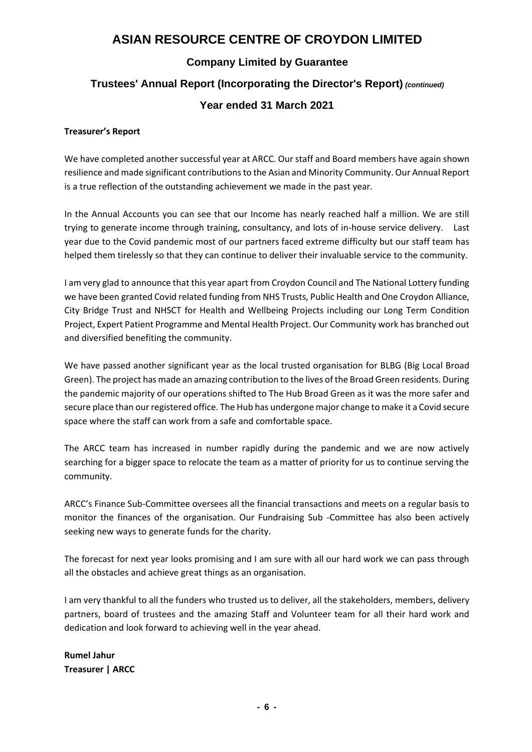### **Company Limited by Guarantee**

### **Trustees' Annual Report (Incorporating the Director's Report)** *(continued)*

### **Year ended 31 March 2021**

#### **Treasurer's Report**

We have completed another successful year at ARCC. Our staff and Board members have again shown resilience and made significant contributions to the Asian and Minority Community. Our Annual Report is a true reflection of the outstanding achievement we made in the past year.

In the Annual Accounts you can see that our Income has nearly reached half a million. We are still trying to generate income through training, consultancy, and lots of in-house service delivery. Last year due to the Covid pandemic most of our partners faced extreme difficulty but our staff team has helped them tirelessly so that they can continue to deliver their invaluable service to the community.

I am very glad to announce that this year apart from Croydon Council and The National Lottery funding we have been granted Covid related funding from NHS Trusts, Public Health and One Croydon Alliance, City Bridge Trust and NHSCT for Health and Wellbeing Projects including our Long Term Condition Project, Expert Patient Programme and Mental Health Project. Our Community work has branched out and diversified benefiting the community.

We have passed another significant year as the local trusted organisation for BLBG (Big Local Broad Green). The project has made an amazing contribution to the lives of the Broad Green residents. During the pandemic majority of our operations shifted to The Hub Broad Green as it was the more safer and secure place than our registered office. The Hub has undergone major change to make it a Covid secure space where the staff can work from a safe and comfortable space.

The ARCC team has increased in number rapidly during the pandemic and we are now actively searching for a bigger space to relocate the team as a matter of priority for us to continue serving the community.

ARCC's Finance Sub-Committee oversees all the financial transactions and meets on a regular basis to monitor the finances of the organisation. Our Fundraising Sub -Committee has also been actively seeking new ways to generate funds for the charity.

The forecast for next year looks promising and I am sure with all our hard work we can pass through all the obstacles and achieve great things as an organisation.

I am very thankful to all the funders who trusted us to deliver, all the stakeholders, members, delivery partners, board of trustees and the amazing Staff and Volunteer team for all their hard work and dedication and look forward to achieving well in the year ahead.

**Rumel Jahur Treasurer | ARCC**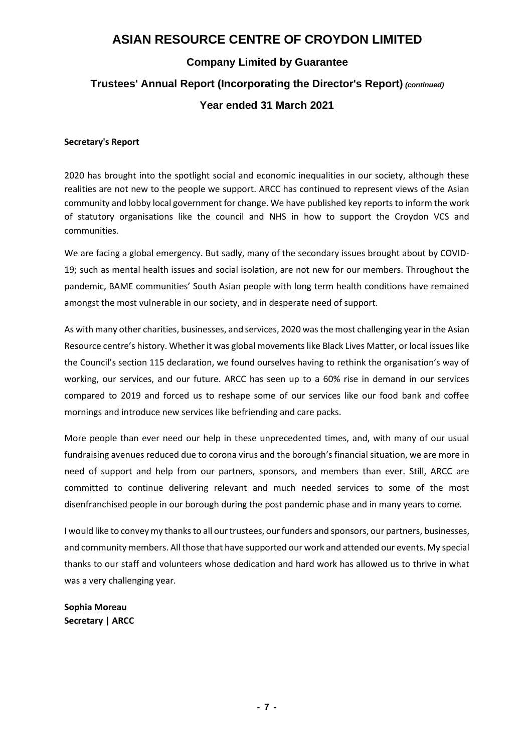### **Company Limited by Guarantee**

# **Trustees' Annual Report (Incorporating the Director's Report)** *(continued)*

### **Year ended 31 March 2021**

#### **Secretary's Report**

2020 has brought into the spotlight social and economic inequalities in our society, although these realities are not new to the people we support. ARCC has continued to represent views of the Asian community and lobby local government for change. We have published key reports to inform the work of statutory organisations like the council and NHS in how to support the Croydon VCS and communities.

We are facing a global emergency. But sadly, many of the secondary issues brought about by COVID-19; such as mental health issues and social isolation, are not new for our members. Throughout the pandemic, BAME communities' South Asian people with long term health conditions have remained amongst the most vulnerable in our society, and in desperate need of support.

As with many other charities, businesses, and services, 2020 was the most challenging year in the Asian Resource centre's history. Whether it was global movements like Black Lives Matter, or local issues like the Council's section 115 declaration, we found ourselves having to rethink the organisation's way of working, our services, and our future. ARCC has seen up to a 60% rise in demand in our services compared to 2019 and forced us to reshape some of our services like our food bank and coffee mornings and introduce new services like befriending and care packs.

More people than ever need our help in these unprecedented times, and, with many of our usual fundraising avenues reduced due to corona virus and the borough's financial situation, we are more in need of support and help from our partners, sponsors, and members than ever. Still, ARCC are committed to continue delivering relevant and much needed services to some of the most disenfranchised people in our borough during the post pandemic phase and in many years to come.

I would like to convey my thanks to all our trustees, our funders and sponsors, our partners, businesses, and community members. All those that have supported our work and attended our events. My special thanks to our staff and volunteers whose dedication and hard work has allowed us to thrive in what was a very challenging year.

**Sophia Moreau Secretary | ARCC**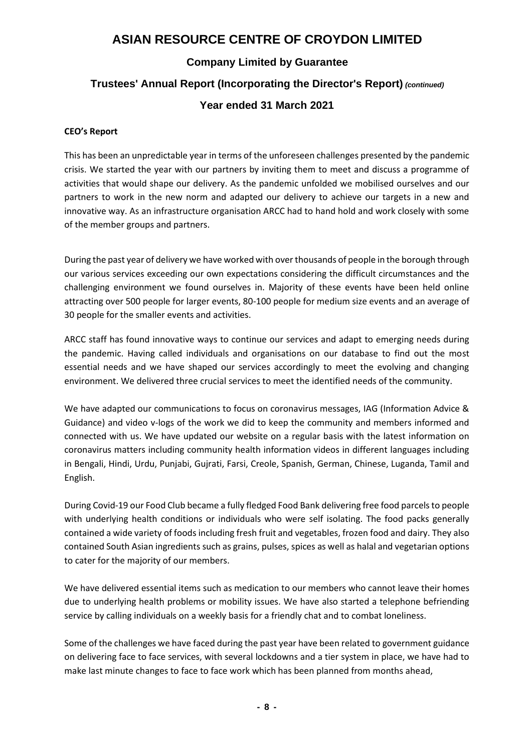### **Company Limited by Guarantee**

### **Trustees' Annual Report (Incorporating the Director's Report)** *(continued)*

### **Year ended 31 March 2021**

#### **CEO's Report**

This has been an unpredictable year in terms of the unforeseen challenges presented by the pandemic crisis. We started the year with our partners by inviting them to meet and discuss a programme of activities that would shape our delivery. As the pandemic unfolded we mobilised ourselves and our partners to work in the new norm and adapted our delivery to achieve our targets in a new and innovative way. As an infrastructure organisation ARCC had to hand hold and work closely with some of the member groups and partners.

During the past year of delivery we have worked with over thousands of people in the borough through our various services exceeding our own expectations considering the difficult circumstances and the challenging environment we found ourselves in. Majority of these events have been held online attracting over 500 people for larger events, 80-100 people for medium size events and an average of 30 people for the smaller events and activities.

ARCC staff has found innovative ways to continue our services and adapt to emerging needs during the pandemic. Having called individuals and organisations on our database to find out the most essential needs and we have shaped our services accordingly to meet the evolving and changing environment. We delivered three crucial services to meet the identified needs of the community.

We have adapted our communications to focus on coronavirus messages, IAG (Information Advice & Guidance) and video v-logs of the work we did to keep the community and members informed and connected with us. We have updated our website on a regular basis with the latest information on coronavirus matters including community health information videos in different languages including in Bengali, Hindi, Urdu, Punjabi, Gujrati, Farsi, Creole, Spanish, German, Chinese, Luganda, Tamil and English.

During Covid-19 our Food Club became a fully fledged Food Bank delivering free food parcels to people with underlying health conditions or individuals who were self isolating. The food packs generally contained a wide variety of foods including fresh fruit and vegetables, frozen food and dairy. They also contained South Asian ingredients such as grains, pulses, spices as well as halal and vegetarian options to cater for the majority of our members.

We have delivered essential items such as medication to our members who cannot leave their homes due to underlying health problems or mobility issues. We have also started a telephone befriending service by calling individuals on a weekly basis for a friendly chat and to combat loneliness.

Some of the challenges we have faced during the past year have been related to government guidance on delivering face to face services, with several lockdowns and a tier system in place, we have had to make last minute changes to face to face work which has been planned from months ahead,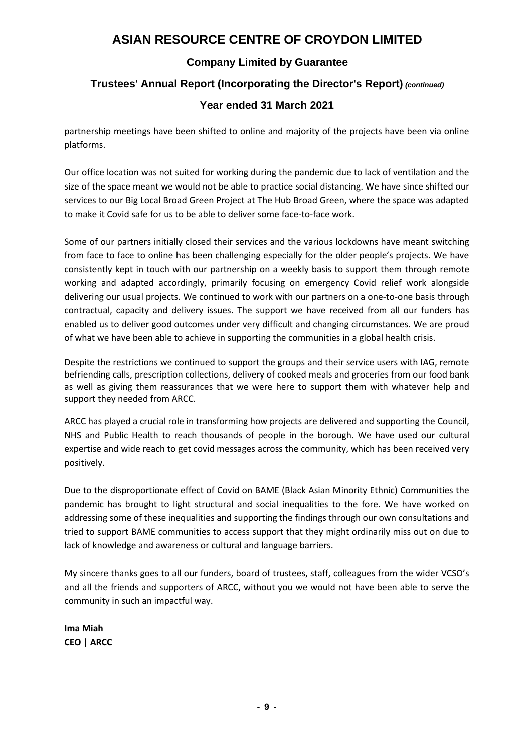### **Company Limited by Guarantee**

### **Trustees' Annual Report (Incorporating the Director's Report)** *(continued)*

### **Year ended 31 March 2021**

partnership meetings have been shifted to online and majority of the projects have been via online platforms.

Our office location was not suited for working during the pandemic due to lack of ventilation and the size of the space meant we would not be able to practice social distancing. We have since shifted our services to our Big Local Broad Green Project at The Hub Broad Green, where the space was adapted to make it Covid safe for us to be able to deliver some face-to-face work.

Some of our partners initially closed their services and the various lockdowns have meant switching from face to face to online has been challenging especially for the older people's projects. We have consistently kept in touch with our partnership on a weekly basis to support them through remote working and adapted accordingly, primarily focusing on emergency Covid relief work alongside delivering our usual projects. We continued to work with our partners on a one-to-one basis through contractual, capacity and delivery issues. The support we have received from all our funders has enabled us to deliver good outcomes under very difficult and changing circumstances. We are proud of what we have been able to achieve in supporting the communities in a global health crisis.

Despite the restrictions we continued to support the groups and their service users with IAG, remote befriending calls, prescription collections, delivery of cooked meals and groceries from our food bank as well as giving them reassurances that we were here to support them with whatever help and support they needed from ARCC.

ARCC has played a crucial role in transforming how projects are delivered and supporting the Council, NHS and Public Health to reach thousands of people in the borough. We have used our cultural expertise and wide reach to get covid messages across the community, which has been received very positively.

Due to the disproportionate effect of Covid on BAME (Black Asian Minority Ethnic) Communities the pandemic has brought to light structural and social inequalities to the fore. We have worked on addressing some of these inequalities and supporting the findings through our own consultations and tried to support BAME communities to access support that they might ordinarily miss out on due to lack of knowledge and awareness or cultural and language barriers.

My sincere thanks goes to all our funders, board of trustees, staff, colleagues from the wider VCSO's and all the friends and supporters of ARCC, without you we would not have been able to serve the community in such an impactful way.

**Ima Miah CEO | ARCC**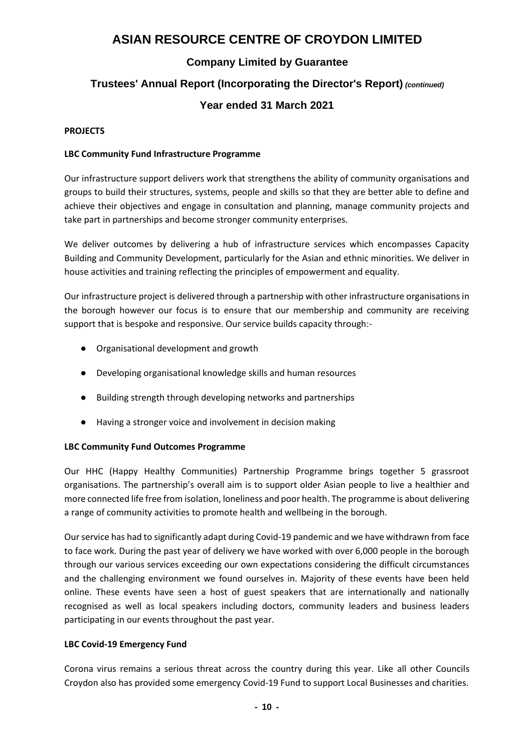### **Company Limited by Guarantee**

# **Trustees' Annual Report (Incorporating the Director's Report)** *(continued)*

### **Year ended 31 March 2021**

#### **PROJECTS**

#### **LBC Community Fund Infrastructure Programme**

Our infrastructure support delivers work that strengthens the ability of community organisations and groups to build their structures, systems, people and skills so that they are better able to define and achieve their objectives and engage in consultation and planning, manage community projects and take part in partnerships and become stronger community enterprises.

We deliver outcomes by delivering a hub of infrastructure services which encompasses Capacity Building and Community Development, particularly for the Asian and ethnic minorities. We deliver in house activities and training reflecting the principles of empowerment and equality.

Our infrastructure project is delivered through a partnership with other infrastructure organisations in the borough however our focus is to ensure that our membership and community are receiving support that is bespoke and responsive. Our service builds capacity through:-

- Organisational development and growth
- Developing organisational knowledge skills and human resources
- Building strength through developing networks and partnerships
- Having a stronger voice and involvement in decision making

#### **LBC Community Fund Outcomes Programme**

Our HHC (Happy Healthy Communities) Partnership Programme brings together 5 grassroot organisations. The partnership's overall aim is to support older Asian people to live a healthier and more connected life free from isolation, loneliness and poor health. The programme is about delivering a range of community activities to promote health and wellbeing in the borough.

Our service has had to significantly adapt during Covid-19 pandemic and we have withdrawn from face to face work. During the past year of delivery we have worked with over 6,000 people in the borough through our various services exceeding our own expectations considering the difficult circumstances and the challenging environment we found ourselves in. Majority of these events have been held online. These events have seen a host of guest speakers that are internationally and nationally recognised as well as local speakers including doctors, community leaders and business leaders participating in our events throughout the past year.

#### **LBC Covid-19 Emergency Fund**

Corona virus remains a serious threat across the country during this year. Like all other Councils Croydon also has provided some emergency Covid-19 Fund to support Local Businesses and charities.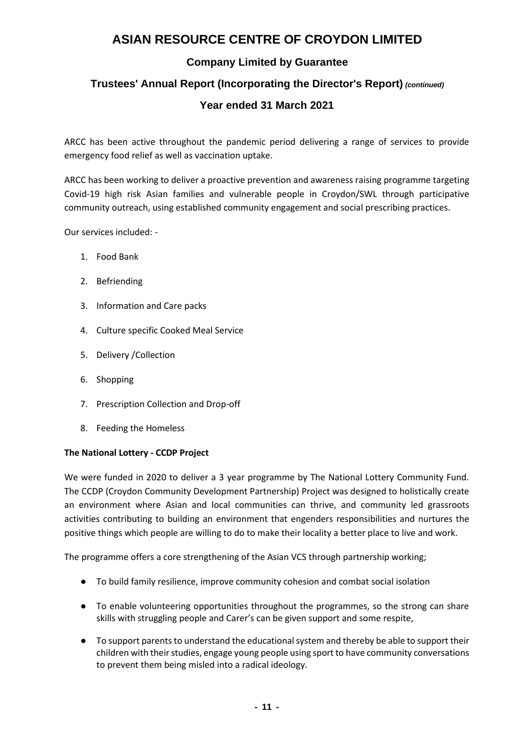### **Company Limited by Guarantee**

### **Trustees' Annual Report (Incorporating the Director's Report)** *(continued)*

### **Year ended 31 March 2021**

ARCC has been active throughout the pandemic period delivering a range of services to provide emergency food relief as well as vaccination uptake.

ARCC has been working to deliver a proactive prevention and awareness raising programme targeting Covid-19 high risk Asian families and vulnerable people in Croydon/SWL through participative community outreach, using established community engagement and social prescribing practices.

Our services included: -

- 1. Food Bank
- 2. Befriending
- 3. Information and Care packs
- 4. Culture specific Cooked Meal Service
- 5. Delivery /Collection
- 6. Shopping
- 7. Prescription Collection and Drop-off
- 8. Feeding the Homeless

#### **The National Lottery - CCDP Project**

We were funded in 2020 to deliver a 3 year programme by The National Lottery Community Fund. The CCDP (Croydon Community Development Partnership) Project was designed to holistically create an environment where Asian and local communities can thrive, and community led grassroots activities contributing to building an environment that engenders responsibilities and nurtures the positive things which people are willing to do to make their locality a better place to live and work.

The programme offers a core strengthening of the Asian VCS through partnership working;

- To build family resilience, improve community cohesion and combat social isolation
- To enable volunteering opportunities throughout the programmes, so the strong can share skills with struggling people and Carer's can be given support and some respite,
- To support parents to understand the educational system and thereby be able to support their children with their studies, engage young people using sport to have community conversations to prevent them being misled into a radical ideology.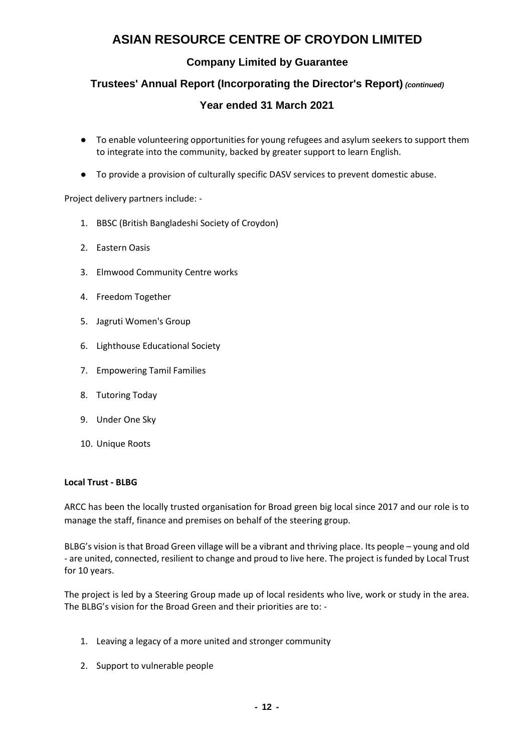### **Company Limited by Guarantee**

### **Trustees' Annual Report (Incorporating the Director's Report)** *(continued)*

### **Year ended 31 March 2021**

- To enable volunteering opportunities for young refugees and asylum seekers to support them to integrate into the community, backed by greater support to learn English.
- To provide a provision of culturally specific DASV services to prevent domestic abuse.

Project delivery partners include: -

- 1. BBSC (British Bangladeshi Society of Croydon)
- 2. Eastern Oasis
- 3. Elmwood Community Centre works
- 4. Freedom Together
- 5. Jagruti Women's Group
- 6. Lighthouse Educational Society
- 7. Empowering Tamil Families
- 8. Tutoring Today
- 9. Under One Sky
- 10. Unique Roots

#### **Local Trust - BLBG**

ARCC has been the locally trusted organisation for Broad green big local since 2017 and our role is to manage the staff, finance and premises on behalf of the steering group.

BLBG's vision is that Broad Green village will be a vibrant and thriving place. Its people – young and old - are united, connected, resilient to change and proud to live here. The project is funded b[y Local Trust](http://localtrust.org.uk/) for 10 years.

The project is led by a Steering Group made up of local residents who live, work or study in the area. The BLBG's vision for the Broad Green and their priorities are to: -

- 1. Leaving a legacy of a more united and stronger community
- 2. Support to vulnerable people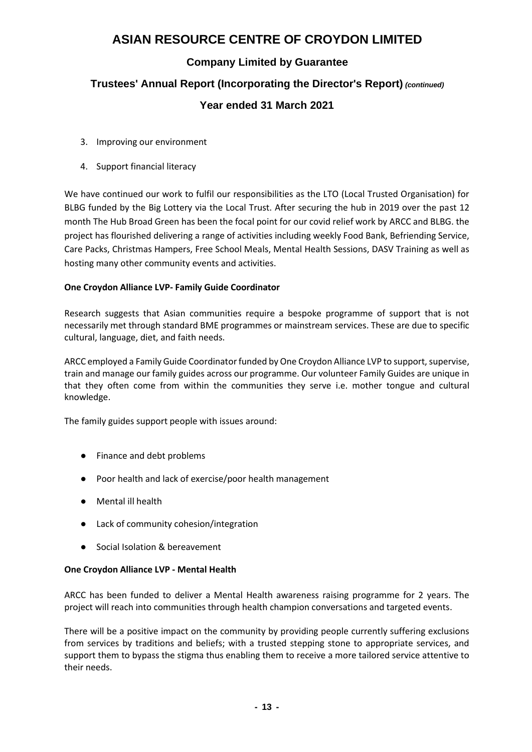### **Company Limited by Guarantee**

# **Trustees' Annual Report (Incorporating the Director's Report)** *(continued)* **Year ended 31 March 2021**

- 3. Improving our environment
- 4. Support financial literacy

We have continued our work to fulfil our responsibilities as the LTO (Local Trusted Organisation) for BLBG funded by the Big Lottery via the Local Trust. After securing the hub in 2019 over the past 12 month The Hub Broad Green has been the focal point for our covid relief work by ARCC and BLBG. the project has flourished delivering a range of activities including weekly Food Bank, Befriending Service, Care Packs, Christmas Hampers, Free School Meals, Mental Health Sessions, DASV Training as well as hosting many other community events and activities.

#### **One Croydon Alliance LVP- Family Guide Coordinator**

Research suggests that Asian communities require a bespoke programme of support that is not necessarily met through standard BME programmes or mainstream services. These are due to specific cultural, language, diet, and faith needs.

ARCC employed a Family Guide Coordinator funded by One Croydon Alliance LVP to support, supervise, train and manage our family guides across our programme. Our volunteer Family Guides are unique in that they often come from within the communities they serve i.e. mother tongue and cultural knowledge.

The family guides support people with issues around:

- Finance and debt problems
- Poor health and lack of exercise/poor health management
- Mental ill health
- Lack of community cohesion/integration
- Social Isolation & bereavement

#### **One Croydon Alliance LVP - Mental Health**

ARCC has been funded to deliver a Mental Health awareness raising programme for 2 years. The project will reach into communities through health champion conversations and targeted events.

There will be a positive impact on the community by providing people currently suffering exclusions from services by traditions and beliefs; with a trusted stepping stone to appropriate services, and support them to bypass the stigma thus enabling them to receive a more tailored service attentive to their needs.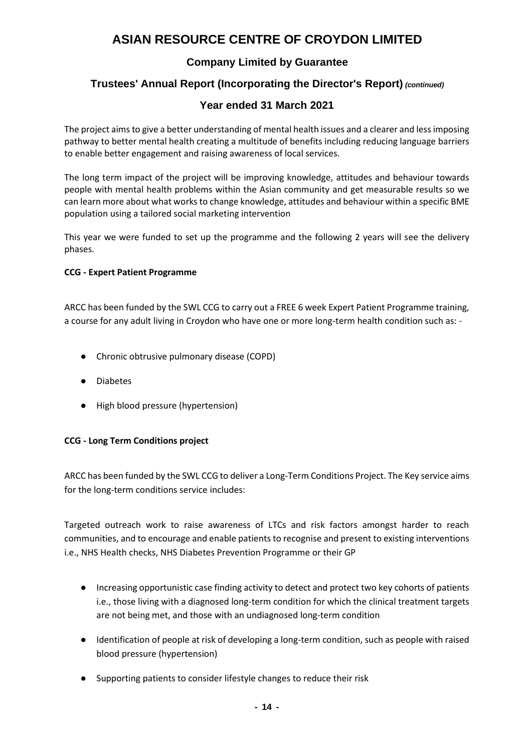### **Company Limited by Guarantee**

### **Trustees' Annual Report (Incorporating the Director's Report)** *(continued)*

### **Year ended 31 March 2021**

The project aims to give a better understanding of mental health issues and a clearer and less imposing pathway to better mental health creating a multitude of benefits including reducing language barriers to enable better engagement and raising awareness of local services.

The long term impact of the project will be improving knowledge, attitudes and behaviour towards people with mental health problems within the Asian community and get measurable results so we can learn more about what works to change knowledge, attitudes and behaviour within a specific BME population using a tailored social marketing intervention

This year we were funded to set up the programme and the following 2 years will see the delivery phases.

#### **CCG - Expert Patient Programme**

ARCC has been funded by the SWL CCG to carry out a FREE 6 week Expert Patient Programme training, a course for any adult living in Croydon who have one or more long-term health condition such as: -

- Chronic obtrusive pulmonary disease (COPD)
- Diabetes
- High blood pressure (hypertension)

#### **CCG - Long Term Conditions project**

ARCC has been funded by the SWL CCG to deliver a Long-Term Conditions Project. The Key service aims for the long-term conditions service includes:

Targeted outreach work to raise awareness of LTCs and risk factors amongst harder to reach communities, and to encourage and enable patients to recognise and present to existing interventions i.e., NHS Health checks, NHS Diabetes Prevention Programme or their GP

- Increasing opportunistic case finding activity to detect and protect two key cohorts of patients i.e., those living with a diagnosed long-term condition for which the clinical treatment targets are not being met, and those with an undiagnosed long-term condition
- Identification of people at risk of developing a long-term condition, such as people with raised blood pressure (hypertension)
- Supporting patients to consider lifestyle changes to reduce their risk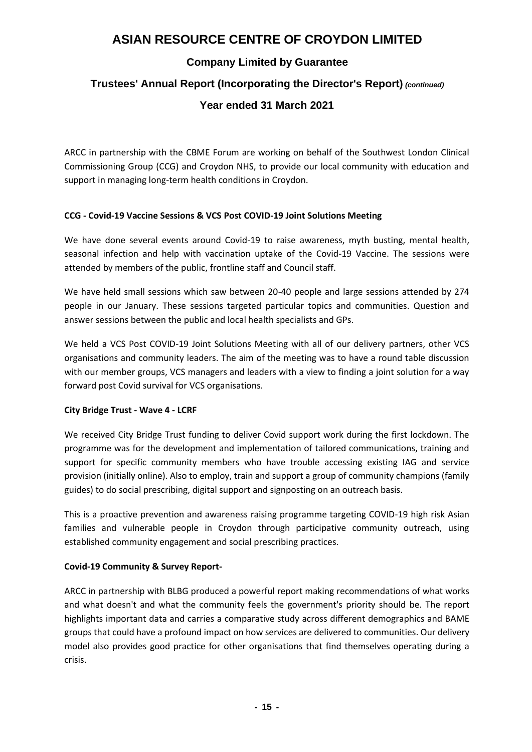### **Company Limited by Guarantee**

### **Trustees' Annual Report (Incorporating the Director's Report)** *(continued)*

### **Year ended 31 March 2021**

ARCC in partnership with the CBME Forum are working on behalf of the Southwest London Clinical Commissioning Group (CCG) and Croydon NHS, to provide our local community with education and support in managing long-term health conditions in Croydon.

#### **CCG - Covid-19 Vaccine Sessions & VCS Post COVID-19 Joint Solutions Meeting**

We have done several events around Covid-19 to raise awareness, myth busting, mental health, seasonal infection and help with vaccination uptake of the Covid-19 Vaccine. The sessions were attended by members of the public, frontline staff and Council staff.

We have held small sessions which saw between 20-40 people and large sessions attended by 274 people in our January. These sessions targeted particular topics and communities. Question and answer sessions between the public and local health specialists and GPs.

We held a VCS Post COVID-19 Joint Solutions Meeting with all of our delivery partners, other VCS organisations and community leaders. The aim of the meeting was to have a round table discussion with our member groups, VCS managers and leaders with a view to finding a joint solution for a way forward post Covid survival for VCS organisations.

#### **City Bridge Trust - Wave 4 - LCRF**

We received City Bridge Trust funding to deliver Covid support work during the first lockdown. The programme was for the development and implementation of tailored communications, training and support for specific community members who have trouble accessing existing IAG and service provision (initially online). Also to employ, train and support a group of community champions (family guides) to do social prescribing, digital support and signposting on an outreach basis.

This is a proactive prevention and awareness raising programme targeting COVID-19 high risk Asian families and vulnerable people in Croydon through participative community outreach, using established community engagement and social prescribing practices.

#### **Covid-19 Community & Survey Report-**

ARCC in partnership with BLBG produced a powerful report making recommendations of what works and what doesn't and what the community feels the government's priority should be. The report highlights important data and carries a comparative study across different demographics and BAME groups that could have a profound impact on how services are delivered to communities. Our delivery model also provides good practice for other organisations that find themselves operating during a crisis.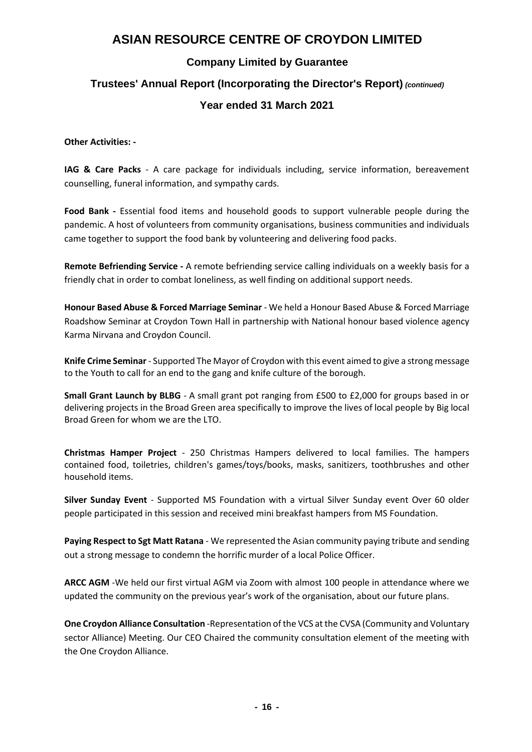### **Company Limited by Guarantee**

# **Trustees' Annual Report (Incorporating the Director's Report)** *(continued)*

### **Year ended 31 March 2021**

#### **Other Activities: -**

**IAG & Care Packs** - A care package for individuals including, service information, bereavement counselling, funeral information, and sympathy cards.

**Food Bank -** Essential food items and household goods to support vulnerable people during the pandemic. A host of volunteers from community organisations, business communities and individuals came together to support the food bank by volunteering and delivering food packs.

**Remote Befriending Service -** A remote befriending service calling individuals on a weekly basis for a friendly chat in order to combat loneliness, as well finding on additional support needs.

**Honour Based Abuse & Forced Marriage Seminar** - We held a Honour Based Abuse & Forced Marriage Roadshow Seminar at Croydon Town Hall in partnership with [N](https://twitter.com/KNFMHBV)ational honour based violence agency Karma Nirvana and Croydon Council.

**Knife Crime Seminar** - Supported The Mayor of Croydon with this event aimed to give a strong message to the Youth to call for an end to the gang and knife culture of the borough.

**Small Grant Launch by BLBG** - A small grant pot ranging from £500 to £2,000 for groups based in or delivering projects in the Broad Green area specifically to improve the lives of local people by Big local Broad Green for whom we are the LTO.

**Christmas Hamper Project** - 250 Christmas Hampers delivered to local families. The hampers contained food, toiletries, children's games/toys/books, masks, sanitizers, toothbrushes and other household items.

**Silver Sunday Event** - Supported MS Foundation with a virtual Silver Sunday event Over 60 older people participated in this session and received mini breakfast hampers from MS Foundation.

**Paying Respect to Sgt Matt Ratana** - We represented the Asian community paying tribute and sending out a strong message to condemn the horrific murder of a local Police Officer.

**ARCC AGM** -We held our first virtual AGM via Zoom with almost 100 people in attendance where we updated the community on the previous year's work of the organisation, about our future plans.

**One Croydon Alliance Consultation** -Representation of the VCS at the CVSA (Community and Voluntary sector Alliance) Meeting. Our CEO Chaired the community consultation element of the meeting with the One Croydon Alliance.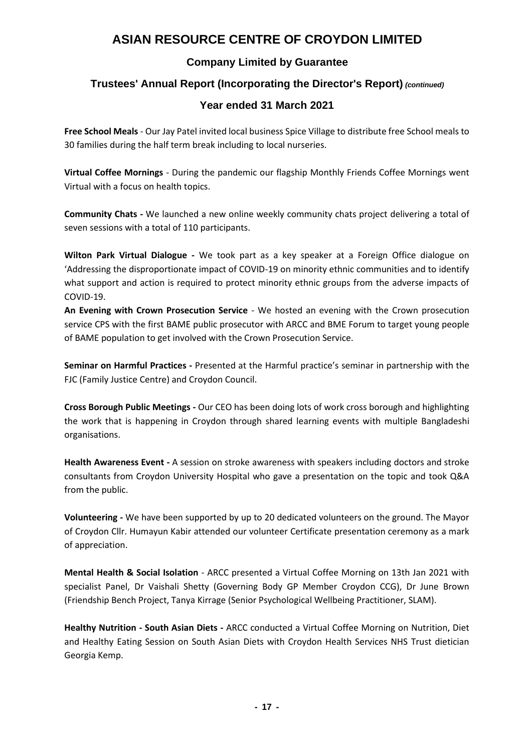### **Company Limited by Guarantee**

### **Trustees' Annual Report (Incorporating the Director's Report)** *(continued)*

### **Year ended 31 March 2021**

**Free School Meals** - Our Jay Patel invited local business Spice Village to distribute free School meals to 30 families during the half term break including to local nurseries.

**Virtual Coffee Mornings** - During the pandemic our flagship Monthly Friends Coffee Mornings went Virtual with a focus on health topics.

**Community Chats -** We launched a new online weekly community chats project delivering a total of seven sessions with a total of 110 participants.

**Wilton Park Virtual Dialogue -** We took part as a key speaker at a Foreign Office dialogue on 'Addressing the disproportionate impact of COVID-19 on minority ethnic communities and to identify what support and action is required to protect minority ethnic groups from the adverse impacts of COVID-19.

**An Evening with Crown Prosecution Service** - We hosted an evening with the Crown prosecution service CPS with the first BAME public prosecutor with ARCC and BME Forum to target young people of BAME population to get involved with the Crown Prosecution Service.

**Seminar on Harmful Practices -** Presented at the Harmful practice's seminar in partnership with the FJC (Family Justice Centre) and Croydon Council.

**Cross Borough Public Meetings -** Our CEO has been doing lots of work cross borough and highlighting the work that is happening in Croydon through shared learning events with multiple Bangladeshi organisations.

**Health Awareness Event -** A session on stroke awareness with speakers including doctors and stroke consultants from Croydon University Hospital who gave a presentation on the topic and took Q&A from the public.

**Volunteering -** We have been supported by up to 20 dedicated volunteers on the ground. The Mayor of Croydon Cllr. Humayun Kabir attended our volunteer Certificate presentation ceremony as a mark of appreciation.

**Mental Health & Social Isolation** - ARCC presented a Virtual Coffee Morning on 13th Jan 2021 with specialist Panel, Dr Vaishali Shetty (Governing Body GP Member Croydon CCG), Dr June Brown (Friendship Bench Project, Tanya Kirrage (Senior Psychological Wellbeing Practitioner, SLAM).

**Healthy Nutrition - South Asian Diets -** ARCC conducted a Virtual Coffee Morning on Nutrition, Diet and Healthy Eating Session on South Asian Diets with Croydon Health Services NHS Trust dietician Georgia Kemp.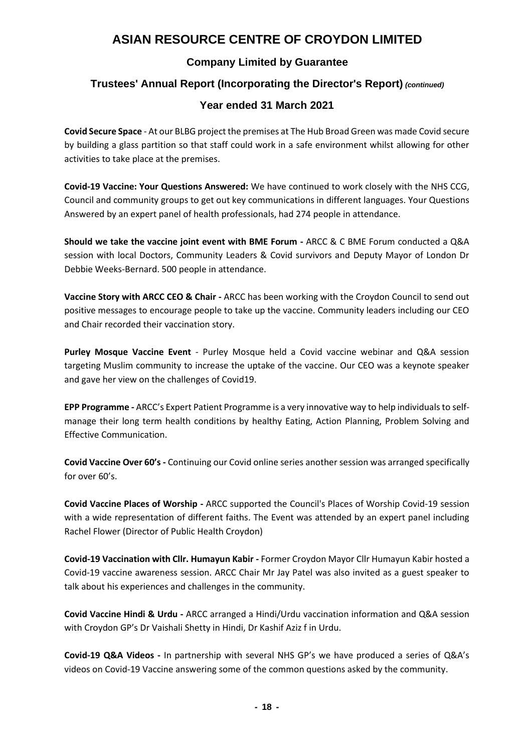### **Company Limited by Guarantee**

### **Trustees' Annual Report (Incorporating the Director's Report)** *(continued)*

### **Year ended 31 March 2021**

**Covid Secure Space** - At our BLBG project the premises at The Hub Broad Green was made Covid secure by building a glass partition so that staff could work in a safe environment whilst allowing for other activities to take place at the premises.

**Covid-19 Vaccine: Your Questions Answered:** We have continued to work closely with the NHS CCG, Council and community groups to get out key communications in different languages. Your Questions Answered by an expert panel of health professionals, had 274 people in attendance.

**Should we take the vaccine joint event with BME Forum -** ARCC & C BME Forum conducted a Q&A session with local Doctors, Community Leaders & Covid survivors and Deputy Mayor of London Dr Debbie Weeks-Bernard. 500 people in attendance.

**Vaccine Story with ARCC CEO & Chair -** ARCC has been working with the Croydon Council to send out positive messages to encourage people to take up the vaccine. Community leaders including our CEO and Chair recorded their vaccination story.

**Purley Mosque Vaccine Event** - Purley Mosque held a Covid vaccine webinar and Q&A session targeting Muslim community to increase the uptake of the vaccine. Our CEO was a keynote speaker and gave her view on the challenges of Covid19.

**EPP Programme -** ARCC's Expert Patient Programme is a very innovative way to help individuals to selfmanage their long term health conditions by healthy Eating, Action Planning, Problem Solving and Effective Communication.

**Covid Vaccine Over 60's -** Continuing our Covid online series another session was arranged specifically for over 60's.

**Covid Vaccine Places of Worship -** ARCC supported the Council's Places of Worship Covid-19 session with a wide representation of different faiths. The Event was attended by an expert panel including Rachel Flower (Director of Public Health Croydon)

**Covid-19 Vaccination with Cllr. Humayun Kabir -** Former Croydon Mayor Cllr Humayun Kabir hosted a Covid-19 vaccine awareness session. ARCC Chair Mr Jay Patel was also invited as a guest speaker to talk about his experiences and challenges in the community.

**Covid Vaccine Hindi & Urdu -** ARCC arranged a Hindi/Urdu vaccination information and Q&A session with Croydon GP's Dr Vaishali Shetty in Hindi, Dr Kashif Aziz f in Urdu.

**Covid-19 Q&A Videos -** In partnership with several NHS GP's we have produced a series of Q&A's videos on Covid-19 Vaccine answering some of the common questions asked by the community.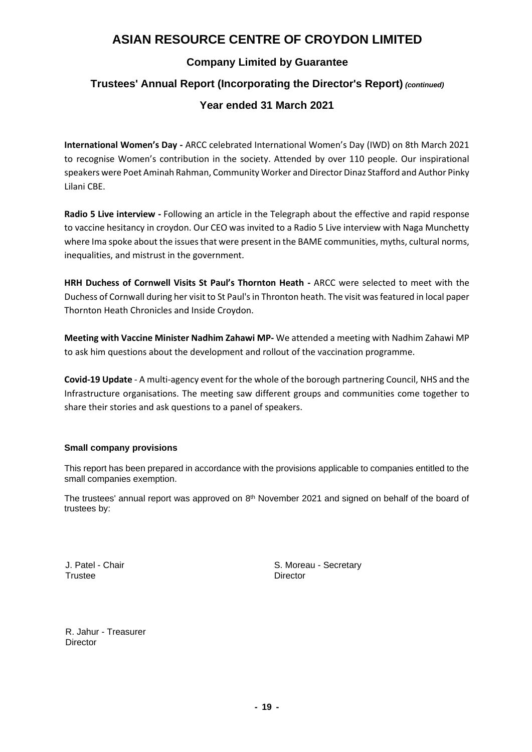### **Company Limited by Guarantee**

### **Trustees' Annual Report (Incorporating the Director's Report)** *(continued)*

### **Year ended 31 March 2021**

**International Women's Day -** ARCC celebrated International Women's Day (IWD) on 8th March 2021 to recognise Women's contribution in the society. Attended by over 110 people. Our inspirational speakers were Poet Aminah Rahman, Community Worker and Director Dinaz Stafford and Author Pinky Lilani CBE.

**Radio 5 Live interview -** Following an article in the Telegraph about the effective and rapid response to vaccine hesitancy in croydon. Our CEO was invited to a Radio 5 Live interview with Naga Munchetty where Ima spoke about the issues that were present in the BAME communities, myths, cultural norms, inequalities, and mistrust in the government.

**HRH Duchess of Cornwell Visits St Paul's Thornton Heath -** ARCC were selected to meet with the Duchess of Cornwall during her visit to St Paul's in Thronton heath. The visit was featured in local paper Thornton Heath Chronicles and Inside Croydon.

**Meeting with Vaccine Minister Nadhim Zahawi MP-** We attended a meeting with Nadhim Zahawi MP to ask him questions about the development and rollout of the vaccination programme.

**Covid-19 Update** - A multi-agency event for the whole of the borough partnering Council, NHS and the Infrastructure organisations. The meeting saw different groups and communities come together to share their stories and ask questions to a panel of speakers.

#### **Small company provisions**

This report has been prepared in accordance with the provisions applicable to companies entitled to the small companies exemption.

The trustees' annual report was approved on  $8<sup>th</sup>$  November 2021 and signed on behalf of the board of trustees by:

Trustee Director

J. Patel - Chair S. Moreau - Secretary

R. Jahur - Treasurer **Director**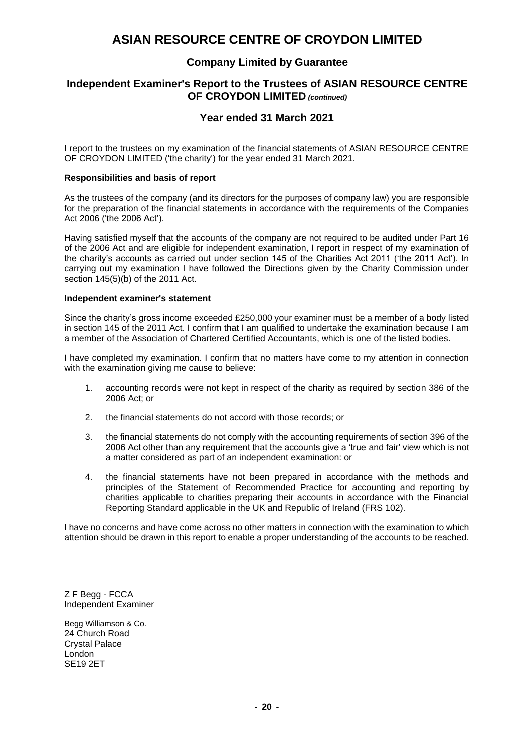### **Company Limited by Guarantee**

#### **Independent Examiner's Report to the Trustees of ASIAN RESOURCE CENTRE OF CROYDON LIMITED** *(continued)*

### **Year ended 31 March 2021**

I report to the trustees on my examination of the financial statements of ASIAN RESOURCE CENTRE OF CROYDON LIMITED ('the charity') for the year ended 31 March 2021.

#### **Responsibilities and basis of report**

As the trustees of the company (and its directors for the purposes of company law) you are responsible for the preparation of the financial statements in accordance with the requirements of the Companies Act 2006 ('the 2006 Act').

Having satisfied myself that the accounts of the company are not required to be audited under Part 16 of the 2006 Act and are eligible for independent examination, I report in respect of my examination of the charity's accounts as carried out under section 145 of the Charities Act 2011 ('the 2011 Act'). In carrying out my examination I have followed the Directions given by the Charity Commission under section 145(5)(b) of the 2011 Act.

#### **Independent examiner's statement**

Since the charity's gross income exceeded £250,000 your examiner must be a member of a body listed in section 145 of the 2011 Act. I confirm that I am qualified to undertake the examination because I am a member of the Association of Chartered Certified Accountants, which is one of the listed bodies.

I have completed my examination. I confirm that no matters have come to my attention in connection with the examination giving me cause to believe:

- 1. accounting records were not kept in respect of the charity as required by section 386 of the 2006 Act; or
- 2. the financial statements do not accord with those records; or
- 3. the financial statements do not comply with the accounting requirements of section 396 of the 2006 Act other than any requirement that the accounts give a 'true and fair' view which is not a matter considered as part of an independent examination: or
- 4. the financial statements have not been prepared in accordance with the methods and principles of the Statement of Recommended Practice for accounting and reporting by charities applicable to charities preparing their accounts in accordance with the Financial Reporting Standard applicable in the UK and Republic of Ireland (FRS 102).

I have no concerns and have come across no other matters in connection with the examination to which attention should be drawn in this report to enable a proper understanding of the accounts to be reached.

Z F Begg - FCCA Independent Examiner

Begg Williamson & Co. 24 Church Road Crystal Palace London SE19 2ET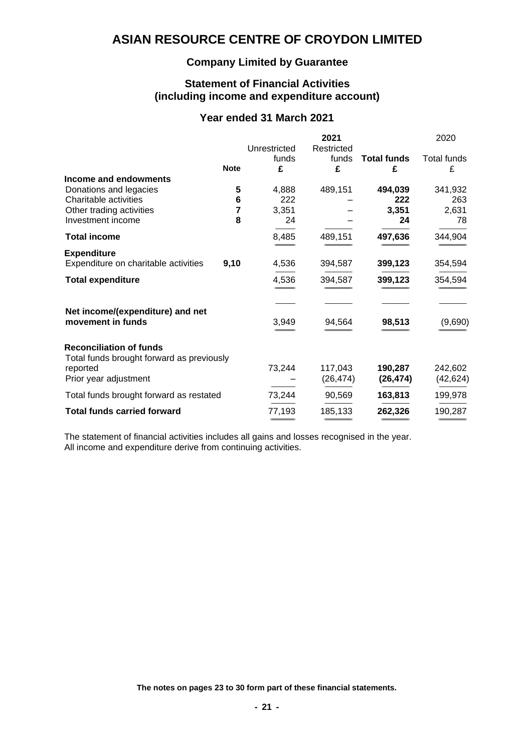### **Company Limited by Guarantee**

#### **Statement of Financial Activities (including income and expenditure account)**

### **Year ended 31 March 2021**

|                                                                             |             | Unrestricted | 2021<br>Restricted |                         | 2020                    |
|-----------------------------------------------------------------------------|-------------|--------------|--------------------|-------------------------|-------------------------|
|                                                                             | <b>Note</b> | funds<br>£   | funds<br>£         | <b>Total funds</b><br>£ | <b>Total funds</b><br>£ |
| Income and endowments                                                       |             |              |                    |                         |                         |
| Donations and legacies                                                      | 5           | 4,888        | 489,151            | 494,039                 | 341,932                 |
| Charitable activities                                                       | 6           | 222          |                    | 222                     | 263                     |
| Other trading activities                                                    | 7           | 3,351        |                    | 3,351                   | 2,631                   |
| Investment income                                                           | 8           | 24           |                    | 24                      | 78                      |
| <b>Total income</b>                                                         |             | 8,485        | 489,151            | 497,636                 | 344,904                 |
| <b>Expenditure</b>                                                          |             |              |                    |                         |                         |
| Expenditure on charitable activities                                        | 9,10        | 4,536        | 394,587            | 399,123                 | 354,594                 |
| <b>Total expenditure</b>                                                    |             | 4,536        | 394,587            | 399,123                 | 354,594                 |
| Net income/(expenditure) and net                                            |             |              |                    |                         |                         |
| movement in funds                                                           |             | 3,949        | 94,564             | 98,513                  | (9,690)                 |
| <b>Reconciliation of funds</b><br>Total funds brought forward as previously |             |              |                    |                         |                         |
| reported                                                                    |             | 73,244       | 117,043            | 190,287                 | 242,602                 |
| Prior year adjustment                                                       |             |              | (26, 474)          | (26, 474)               | (42, 624)               |
| Total funds brought forward as restated                                     |             | 73,244       | 90,569             | 163,813                 | 199,978                 |
| <b>Total funds carried forward</b>                                          |             | 77,193       | 185,133            | 262,326                 | 190,287                 |
|                                                                             |             |              |                    |                         |                         |

The statement of financial activities includes all gains and losses recognised in the year. All income and expenditure derive from continuing activities.

**The notes on pages 23 to 30 form part of these financial statements.**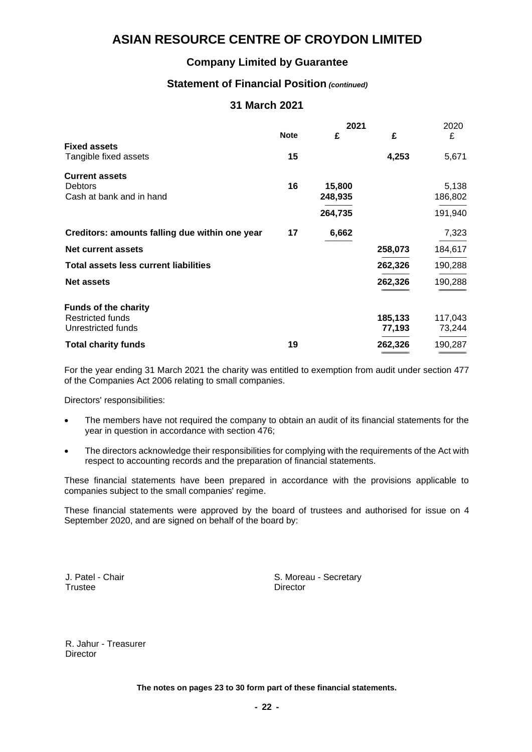### **Company Limited by Guarantee**

### **Statement of Financial Position** *(continued)*

### **31 March 2021**

|                                                |             | 2021    |         |         |
|------------------------------------------------|-------------|---------|---------|---------|
|                                                | <b>Note</b> | £       | £       | £       |
| <b>Fixed assets</b>                            |             |         |         |         |
| Tangible fixed assets                          | 15          |         | 4,253   | 5,671   |
| <b>Current assets</b>                          |             |         |         |         |
| <b>Debtors</b>                                 | 16          | 15,800  |         | 5,138   |
| Cash at bank and in hand                       |             | 248,935 |         | 186,802 |
|                                                |             | 264,735 |         | 191,940 |
| Creditors: amounts falling due within one year | 17          | 6,662   |         | 7,323   |
| <b>Net current assets</b>                      |             |         | 258,073 | 184,617 |
| <b>Total assets less current liabilities</b>   |             |         | 262,326 | 190,288 |
| <b>Net assets</b>                              |             |         | 262,326 | 190,288 |
|                                                |             |         |         |         |
| <b>Funds of the charity</b>                    |             |         |         |         |
| <b>Restricted funds</b>                        |             |         | 185,133 | 117,043 |
| Unrestricted funds                             |             |         | 77,193  | 73,244  |
| <b>Total charity funds</b>                     | 19          |         | 262,326 | 190,287 |
|                                                |             |         |         |         |

For the year ending 31 March 2021 the charity was entitled to exemption from audit under section 477 of the Companies Act 2006 relating to small companies.

Directors' responsibilities:

- The members have not required the company to obtain an audit of its financial statements for the year in question in accordance with section 476;
- The directors acknowledge their responsibilities for complying with the requirements of the Act with respect to accounting records and the preparation of financial statements.

These financial statements have been prepared in accordance with the provisions applicable to companies subject to the small companies' regime.

These financial statements were approved by the board of trustees and authorised for issue on 4 September 2020, and are signed on behalf of the board by:

J. Patel - Chair **S. Moreau - Secretary** S. Moreau - Secretary S. Moreau - Secretary Director

R. Jahur - Treasurer **Director** 

**The notes on pages 23 to 30 form part of these financial statements.**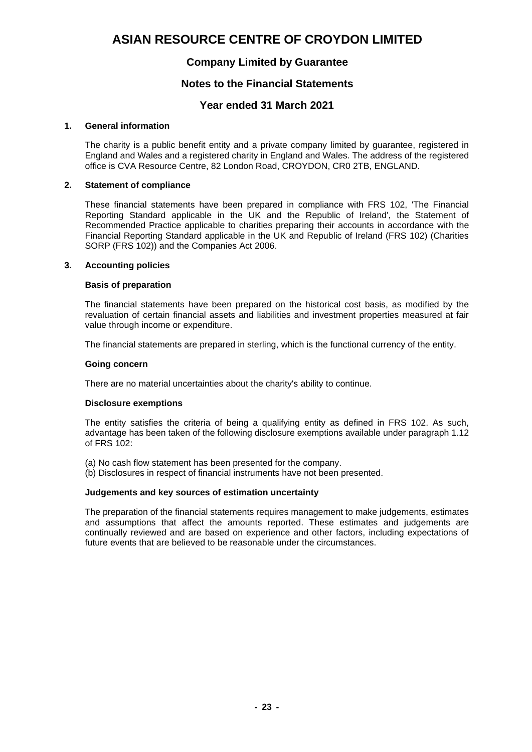### **Company Limited by Guarantee**

#### **Notes to the Financial Statements**

#### **Year ended 31 March 2021**

#### **1. General information**

The charity is a public benefit entity and a private company limited by guarantee, registered in England and Wales and a registered charity in England and Wales. The address of the registered office is CVA Resource Centre, 82 London Road, CROYDON, CR0 2TB, ENGLAND.

#### **2. Statement of compliance**

These financial statements have been prepared in compliance with FRS 102, 'The Financial Reporting Standard applicable in the UK and the Republic of Ireland', the Statement of Recommended Practice applicable to charities preparing their accounts in accordance with the Financial Reporting Standard applicable in the UK and Republic of Ireland (FRS 102) (Charities SORP (FRS 102)) and the Companies Act 2006.

#### **3. Accounting policies**

#### **Basis of preparation**

The financial statements have been prepared on the historical cost basis, as modified by the revaluation of certain financial assets and liabilities and investment properties measured at fair value through income or expenditure.

The financial statements are prepared in sterling, which is the functional currency of the entity.

#### **Going concern**

There are no material uncertainties about the charity's ability to continue.

#### **Disclosure exemptions**

The entity satisfies the criteria of being a qualifying entity as defined in FRS 102. As such, advantage has been taken of the following disclosure exemptions available under paragraph 1.12 of FRS 102:

(a) No cash flow statement has been presented for the company.

(b) Disclosures in respect of financial instruments have not been presented.

#### **Judgements and key sources of estimation uncertainty**

The preparation of the financial statements requires management to make judgements, estimates and assumptions that affect the amounts reported. These estimates and judgements are continually reviewed and are based on experience and other factors, including expectations of future events that are believed to be reasonable under the circumstances.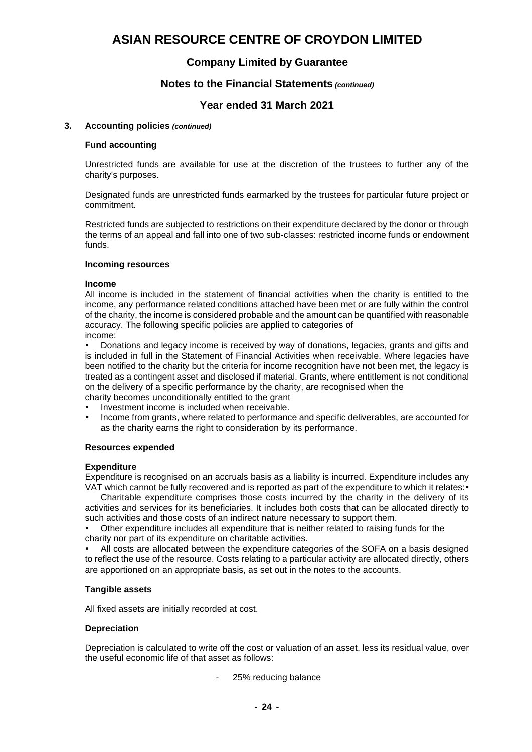### **Company Limited by Guarantee**

#### **Notes to the Financial Statements** *(continued)*

#### **Year ended 31 March 2021**

#### **3. Accounting policies** *(continued)*

#### **Fund accounting**

Unrestricted funds are available for use at the discretion of the trustees to further any of the charity's purposes.

Designated funds are unrestricted funds earmarked by the trustees for particular future project or commitment.

Restricted funds are subjected to restrictions on their expenditure declared by the donor or through the terms of an appeal and fall into one of two sub-classes: restricted income funds or endowment funds.

#### **Incoming resources**

#### **Income**

All income is included in the statement of financial activities when the charity is entitled to the income, any performance related conditions attached have been met or are fully within the control of the charity, the income is considered probable and the amount can be quantified with reasonable accuracy. The following specific policies are applied to categories of income:

 Donations and legacy income is received by way of donations, legacies, grants and gifts and is included in full in the Statement of Financial Activities when receivable. Where legacies have been notified to the charity but the criteria for income recognition have not been met, the legacy is treated as a contingent asset and disclosed if material. Grants, where entitlement is not conditional on the delivery of a specific performance by the charity, are recognised when the

charity becomes unconditionally entitled to the grant

- Investment income is included when receivable.
- Income from grants, where related to performance and specific deliverables, are accounted for as the charity earns the right to consideration by its performance.

#### **Resources expended**

#### **Expenditure**

Expenditure is recognised on an accruals basis as a liability is incurred. Expenditure includes any VAT which cannot be fully recovered and is reported as part of the expenditure to which it relates: •

Charitable expenditure comprises those costs incurred by the charity in the delivery of its activities and services for its beneficiaries. It includes both costs that can be allocated directly to such activities and those costs of an indirect nature necessary to support them.

 Other expenditure includes all expenditure that is neither related to raising funds for the charity nor part of its expenditure on charitable activities.

 All costs are allocated between the expenditure categories of the SOFA on a basis designed to reflect the use of the resource. Costs relating to a particular activity are allocated directly, others are apportioned on an appropriate basis, as set out in the notes to the accounts.

#### **Tangible assets**

All fixed assets are initially recorded at cost.

#### **Depreciation**

Depreciation is calculated to write off the cost or valuation of an asset, less its residual value, over the useful economic life of that asset as follows:

25% reducing balance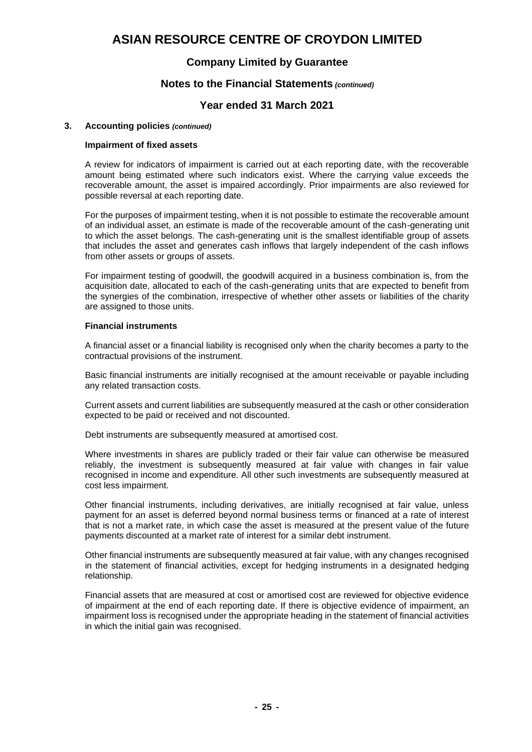### **Company Limited by Guarantee**

#### **Notes to the Financial Statements** *(continued)*

#### **Year ended 31 March 2021**

#### **3. Accounting policies** *(continued)*

#### **Impairment of fixed assets**

A review for indicators of impairment is carried out at each reporting date, with the recoverable amount being estimated where such indicators exist. Where the carrying value exceeds the recoverable amount, the asset is impaired accordingly. Prior impairments are also reviewed for possible reversal at each reporting date.

For the purposes of impairment testing, when it is not possible to estimate the recoverable amount of an individual asset, an estimate is made of the recoverable amount of the cash-generating unit to which the asset belongs. The cash-generating unit is the smallest identifiable group of assets that includes the asset and generates cash inflows that largely independent of the cash inflows from other assets or groups of assets.

For impairment testing of goodwill, the goodwill acquired in a business combination is, from the acquisition date, allocated to each of the cash-generating units that are expected to benefit from the synergies of the combination, irrespective of whether other assets or liabilities of the charity are assigned to those units.

#### **Financial instruments**

A financial asset or a financial liability is recognised only when the charity becomes a party to the contractual provisions of the instrument.

Basic financial instruments are initially recognised at the amount receivable or payable including any related transaction costs.

Current assets and current liabilities are subsequently measured at the cash or other consideration expected to be paid or received and not discounted.

Debt instruments are subsequently measured at amortised cost.

Where investments in shares are publicly traded or their fair value can otherwise be measured reliably, the investment is subsequently measured at fair value with changes in fair value recognised in income and expenditure. All other such investments are subsequently measured at cost less impairment.

Other financial instruments, including derivatives, are initially recognised at fair value, unless payment for an asset is deferred beyond normal business terms or financed at a rate of interest that is not a market rate, in which case the asset is measured at the present value of the future payments discounted at a market rate of interest for a similar debt instrument.

Other financial instruments are subsequently measured at fair value, with any changes recognised in the statement of financial activities, except for hedging instruments in a designated hedging relationship.

Financial assets that are measured at cost or amortised cost are reviewed for objective evidence of impairment at the end of each reporting date. If there is objective evidence of impairment, an impairment loss is recognised under the appropriate heading in the statement of financial activities in which the initial gain was recognised.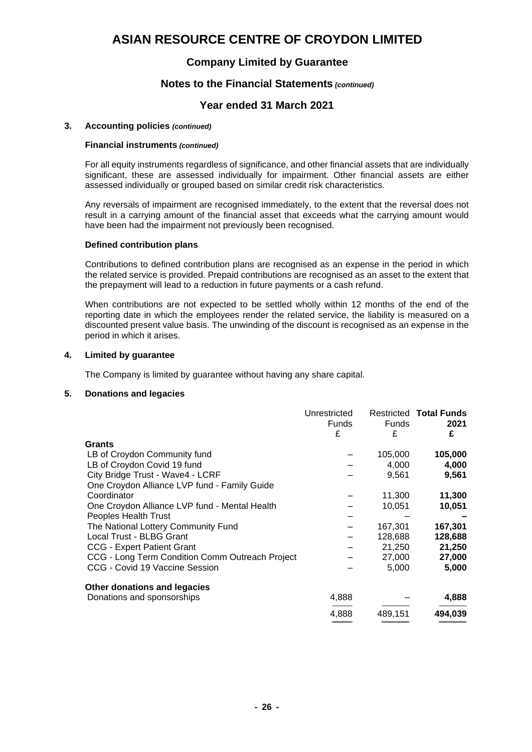#### **Company Limited by Guarantee**

#### **Notes to the Financial Statements** *(continued)*

#### **Year ended 31 March 2021**

#### **3. Accounting policies** *(continued)*

#### **Financial instruments** *(continued)*

For all equity instruments regardless of significance, and other financial assets that are individually significant, these are assessed individually for impairment. Other financial assets are either assessed individually or grouped based on similar credit risk characteristics.

Any reversals of impairment are recognised immediately, to the extent that the reversal does not result in a carrying amount of the financial asset that exceeds what the carrying amount would have been had the impairment not previously been recognised.

#### **Defined contribution plans**

Contributions to defined contribution plans are recognised as an expense in the period in which the related service is provided. Prepaid contributions are recognised as an asset to the extent that the prepayment will lead to a reduction in future payments or a cash refund.

When contributions are not expected to be settled wholly within 12 months of the end of the reporting date in which the employees render the related service, the liability is measured on a discounted present value basis. The unwinding of the discount is recognised as an expense in the period in which it arises.

#### **4. Limited by guarantee**

The Company is limited by guarantee without having any share capital.

#### **5. Donations and legacies**

|                                                 | Unrestricted |              | <b>Restricted Total Funds</b> |
|-------------------------------------------------|--------------|--------------|-------------------------------|
|                                                 | Funds        | <b>Funds</b> | 2021                          |
|                                                 | £            | £            | £                             |
| Grants                                          |              |              |                               |
| LB of Croydon Community fund                    |              | 105,000      | 105,000                       |
| LB of Croydon Covid 19 fund                     |              | 4,000        | 4,000                         |
| City Bridge Trust - Wave4 - LCRF                |              | 9,561        | 9,561                         |
| One Croydon Alliance LVP fund - Family Guide    |              |              |                               |
| Coordinator                                     |              | 11,300       | 11,300                        |
| One Croydon Alliance LVP fund - Mental Health   |              | 10,051       | 10,051                        |
| <b>Peoples Health Trust</b>                     |              |              |                               |
| The National Lottery Community Fund             |              | 167,301      | 167,301                       |
| Local Trust - BLBG Grant                        |              | 128,688      | 128,688                       |
| <b>CCG - Expert Patient Grant</b>               |              | 21,250       | 21,250                        |
| CCG - Long Term Condition Comm Outreach Project |              | 27,000       | 27,000                        |
| CCG - Covid 19 Vaccine Session                  |              | 5,000        | 5,000                         |
| Other donations and legacies                    |              |              |                               |
| Donations and sponsorships                      | 4,888        |              | 4,888                         |
|                                                 | 4,888        | 489,151      | 494,039                       |
|                                                 |              |              |                               |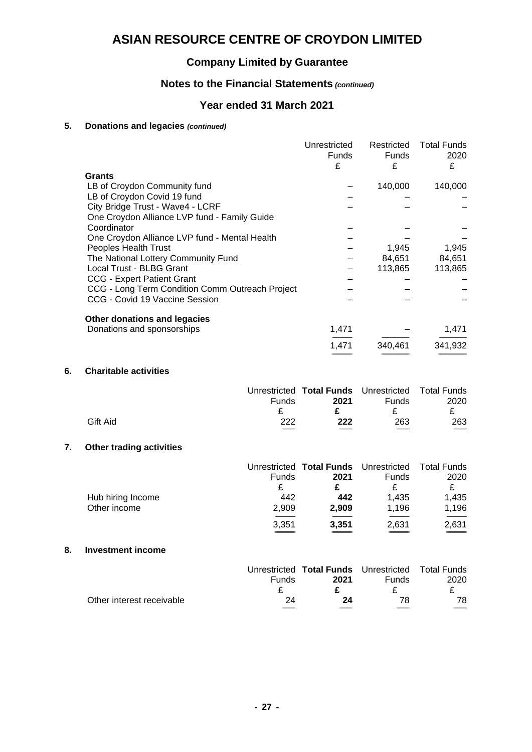### **Company Limited by Guarantee**

### **Notes to the Financial Statements** *(continued)*

### **Year ended 31 March 2021**

### **5. Donations and legacies** *(continued)*

|                                                 | Unrestricted | Restricted   | <b>Total Funds</b> |
|-------------------------------------------------|--------------|--------------|--------------------|
|                                                 | Funds        | <b>Funds</b> | 2020               |
|                                                 | £            | £            | £                  |
| <b>Grants</b>                                   |              |              |                    |
| LB of Croydon Community fund                    |              | 140,000      | 140,000            |
| LB of Croydon Covid 19 fund                     |              |              |                    |
| City Bridge Trust - Wave4 - LCRF                |              |              |                    |
| One Croydon Alliance LVP fund - Family Guide    |              |              |                    |
| Coordinator                                     |              |              |                    |
| One Croydon Alliance LVP fund - Mental Health   |              |              |                    |
| Peoples Health Trust                            |              | 1,945        | 1,945              |
| The National Lottery Community Fund             |              | 84,651       | 84,651             |
| Local Trust - BLBG Grant                        |              | 113,865      | 113,865            |
| <b>CCG - Expert Patient Grant</b>               |              |              |                    |
| CCG - Long Term Condition Comm Outreach Project |              |              |                    |
| CCG - Covid 19 Vaccine Session                  |              |              |                    |
| Other donations and legacies                    |              |              |                    |
| Donations and sponsorships                      | 1,471        |              | 1,471              |
|                                                 | 1,471        | 340,461      | 341,932            |
|                                                 |              |              |                    |

#### **6. Charitable activities**

|          |              | Unrestricted Total Funds Unrestricted Total Funds |              |                          |
|----------|--------------|---------------------------------------------------|--------------|--------------------------|
|          | <b>Funds</b> | 2021                                              | <b>Funds</b> | 2020                     |
|          |              |                                                   |              |                          |
| Gift Aid | 222          | 222                                               | 263          | 263                      |
|          | ____         |                                                   | $-$          | $\overline{\phantom{a}}$ |

#### **7. Other trading activities**

|                   |       | Unrestricted Total Funds Unrestricted |              | <b>Total Funds</b> |
|-------------------|-------|---------------------------------------|--------------|--------------------|
|                   | Funds | 2021                                  | <b>Funds</b> | 2020               |
|                   |       |                                       |              |                    |
| Hub hiring Income | 442   | 442                                   | 1.435        | 1,435              |
| Other income      | 2.909 | 2,909                                 | 1.196        | 1,196              |
|                   | 3,351 | 3,351                                 | 2,631        | 2,631              |
|                   |       |                                       |              |                    |

#### **8. Investment income**

|                           |              | Unrestricted Total Funds Unrestricted Total Funds |              |      |
|---------------------------|--------------|---------------------------------------------------|--------------|------|
|                           | <b>Funds</b> | 2021                                              | <b>Funds</b> | 2020 |
|                           |              |                                                   |              |      |
| Other interest receivable | 24           | 24                                                | 78           | 78   |
|                           |              |                                                   |              |      |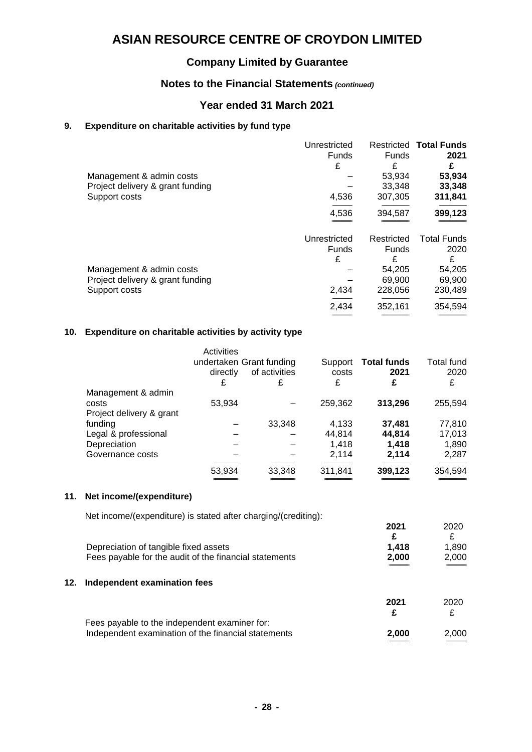### **Company Limited by Guarantee**

### **Notes to the Financial Statements** *(continued)*

### **Year ended 31 March 2021**

#### **9. Expenditure on charitable activities by fund type**

|                                                                               | Unrestricted<br><b>Funds</b><br>£ | <b>Funds</b><br>£               | <b>Restricted Total Funds</b><br>2021<br>£ |
|-------------------------------------------------------------------------------|-----------------------------------|---------------------------------|--------------------------------------------|
| Management & admin costs<br>Project delivery & grant funding                  |                                   | 53,934<br>33,348                | 53,934<br>33,348                           |
| Support costs                                                                 | 4,536                             | 307,305                         | 311,841                                    |
|                                                                               | 4,536                             | 394,587                         | 399,123                                    |
|                                                                               | Unrestricted<br><b>Funds</b><br>£ | Restricted<br><b>Funds</b><br>£ | <b>Total Funds</b><br>2020<br>£            |
| Management & admin costs<br>Project delivery & grant funding<br>Support costs | 2,434                             | 54.205<br>69,900<br>228,056     | 54,205<br>69,900<br>230,489                |
|                                                                               | 2,434                             | 352,161                         | 354,594                                    |

#### **10. Expenditure on charitable activities by activity type**

|                          | Activities<br>directly<br>£ | undertaken Grant funding<br>of activities<br>£ | Support<br>costs<br>£ | <b>Total funds</b><br>2021<br>£ | Total fund<br>2020<br>£ |
|--------------------------|-----------------------------|------------------------------------------------|-----------------------|---------------------------------|-------------------------|
| Management & admin       |                             |                                                |                       |                                 |                         |
| costs                    | 53,934                      |                                                | 259,362               | 313,296                         | 255,594                 |
| Project delivery & grant |                             |                                                |                       |                                 |                         |
| funding                  |                             | 33,348                                         | 4,133                 | 37,481                          | 77,810                  |
| Legal & professional     |                             |                                                | 44.814                | 44,814                          | 17,013                  |
| Depreciation             |                             |                                                | 1.418                 | 1.418                           | 1,890                   |
| Governance costs         |                             |                                                | 2,114                 | 2,114                           | 2,287                   |
|                          | 53,934                      | 33,348                                         | 311,841               | 399,123                         | 354,594                 |
|                          |                             |                                                |                       |                                 |                         |

#### **11. Net income/(expenditure)**

|     | Net income/(expenditure) is stated after charging/(crediting): |       |       |
|-----|----------------------------------------------------------------|-------|-------|
|     |                                                                | 2021  | 2020  |
|     |                                                                | £     | £     |
|     | Depreciation of tangible fixed assets                          | 1.418 | 1.890 |
|     | Fees payable for the audit of the financial statements         | 2,000 | 2,000 |
|     |                                                                |       |       |
| 12. | Independent examination fees                                   |       |       |
|     |                                                                | 2021  | 2020  |
|     |                                                                |       |       |

| Fees payable to the independent examiner for:       |                  |       |
|-----------------------------------------------------|------------------|-------|
| Independent examination of the financial statements | 2.000            | 2.000 |
|                                                     | ---------------- |       |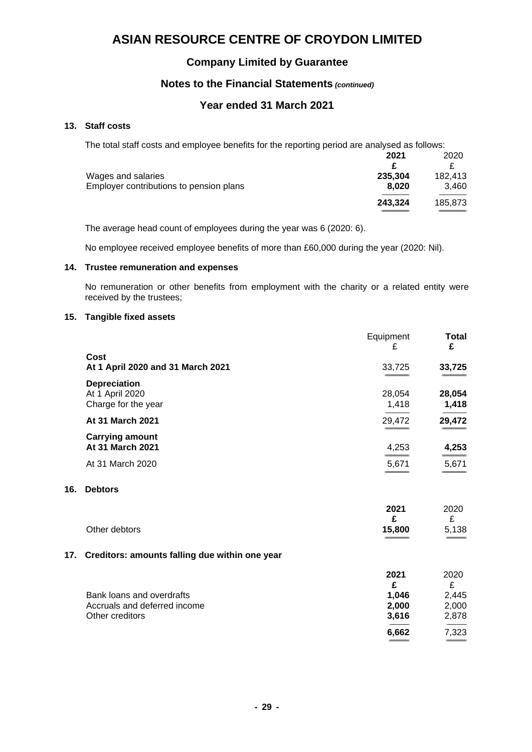### **Company Limited by Guarantee**

### **Notes to the Financial Statements** *(continued)*

### **Year ended 31 March 2021**

#### **13. Staff costs**

The total staff costs and employee benefits for the reporting period are analysed as follows:

|                                         | 2021    | 2020    |
|-----------------------------------------|---------|---------|
|                                         |         |         |
| Wages and salaries                      | 235.304 | 182.413 |
| Employer contributions to pension plans | 8.020   | 3.460   |
|                                         | 243.324 | 185,873 |
|                                         |         |         |

The average head count of employees during the year was 6 (2020: 6).

No employee received employee benefits of more than £60,000 during the year (2020: Nil).

#### **14. Trustee remuneration and expenses**

No remuneration or other benefits from employment with the charity or a related entity were received by the trustees;

#### **15. Tangible fixed assets**

|                                                                | Equipment<br>£  | <b>Total</b><br>£ |
|----------------------------------------------------------------|-----------------|-------------------|
| Cost<br>At 1 April 2020 and 31 March 2021                      | 33,725          | 33,725            |
| <b>Depreciation</b><br>At 1 April 2020<br>Charge for the year  | 28,054<br>1,418 | 28,054<br>1,418   |
| At 31 March 2021                                               | 29,472          | 29,472            |
| <b>Carrying amount</b><br>At 31 March 2021<br>At 31 March 2020 | 4,253<br>5,671  | 4,253<br>5,671    |

#### **16. Debtors**

|               | 2021                  | 2020   |
|---------------|-----------------------|--------|
|               |                       |        |
| Other debtors | 15,800                | 5,138  |
|               | --------------------- | ______ |

#### **17. Creditors: amounts falling due within one year**

|                              | 2021  | 2020  |
|------------------------------|-------|-------|
|                              | £     | £     |
| Bank loans and overdrafts    | 1.046 | 2.445 |
| Accruals and deferred income | 2.000 | 2,000 |
| Other creditors              | 3,616 | 2,878 |
|                              | 6,662 | 7,323 |
|                              |       |       |